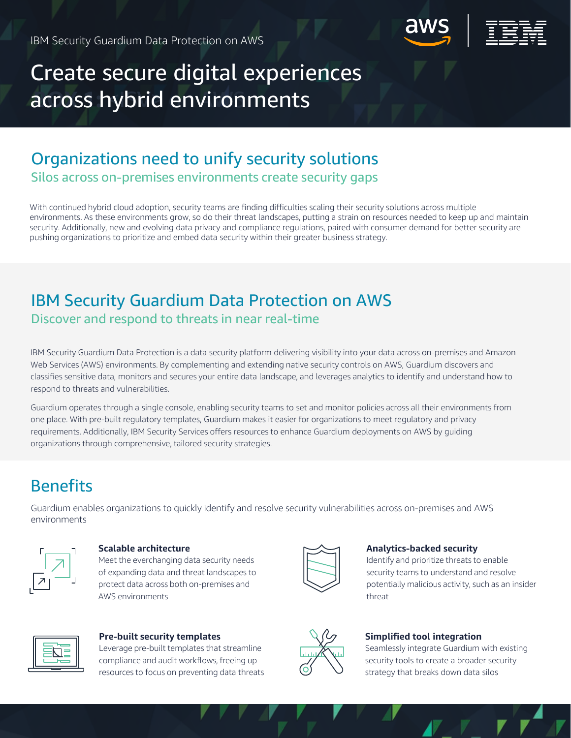

# across hybrid environments Create secure digital experiences

# Organizations need to unify security solutions

Silos across on-premises environments create security gaps

With continued hybrid cloud adoption, security teams are finding difficulties scaling their security solutions across multiple environments. As these environments grow, so do their threat landscapes, putting a strain on resources needed to keep up and maintain security. Additionally, new and evolving data privacy and compliance regulations, paired with consumer demand for better security are pushing organizations to prioritize and embed data security within their greater business strategy.

# IBM Security Guardium Data Protection on AWS Discover and respond to threats in near real-time

IBM Security Guardium Data Protection is a data security platform delivering visibility into your data across on-premises and Amazon Web Services (AWS) environments. By complementing and extending native security controls on AWS, Guardium discovers and classifies sensitive data, monitors and secures your entire data landscape, and leverages analytics to identify and understand how to respond to threats and vulnerabilities.

Guardium operates through a single console, enabling security teams to set and monitor policies across all their environments from one place. With pre-built regulatory templates, Guardium makes it easier for organizations to meet regulatory and privacy requirements. Additionally, IBM Security Services offers resources to enhance Guardium deployments on AWS by guiding organizations through comprehensive, tailored security strategies.

# **Benefits**

Guardium enables organizations to quickly identify and resolve security vulnerabilities across on-premises and AWS environments



### **Scalable architecture**

Meet the everchanging data security needs of expanding data and threat landscapes to protect data across both on-premises and AWS environments



### **Analytics-backed security**

Identify and prioritize threats to enable security teams to understand and resolve potentially malicious activity, such as an insider threat



## **Pre-built security templates**

Leverage pre-built templates that streamline compliance and audit workflows, freeing up resources to focus on preventing data threats



# **Simplified tool integration**

Seamlessly integrate Guardium with existing security tools to create a broader security strategy that breaks down data silos